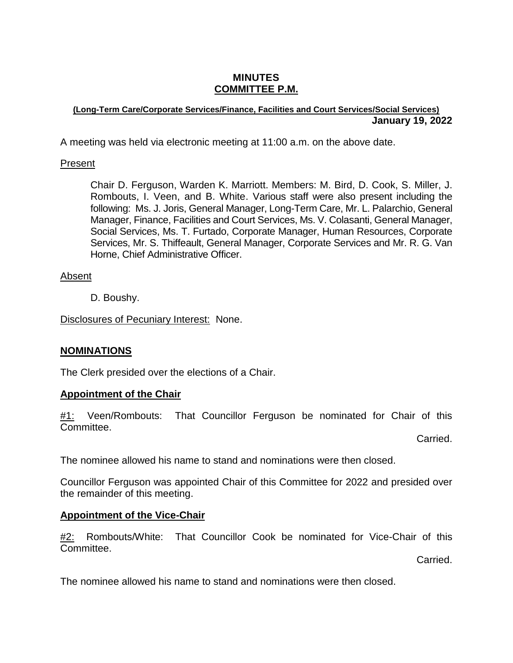# **MINUTES COMMITTEE P.M.**

#### **(Long-Term Care/Corporate Services/Finance, Facilities and Court Services/Social Services) January 19, 2022**

A meeting was held via electronic meeting at 11:00 a.m. on the above date.

# Present

Chair D. Ferguson, Warden K. Marriott. Members: M. Bird, D. Cook, S. Miller, J. Rombouts, I. Veen, and B. White. Various staff were also present including the following: Ms. J. Joris, General Manager, Long-Term Care, Mr. L. Palarchio, General Manager, Finance, Facilities and Court Services, Ms. V. Colasanti, General Manager, Social Services, Ms. T. Furtado, Corporate Manager, Human Resources, Corporate Services, Mr. S. Thiffeault, General Manager, Corporate Services and Mr. R. G. Van Horne, Chief Administrative Officer.

# Absent

D. Boushy.

Disclosures of Pecuniary Interest: None.

# **NOMINATIONS**

The Clerk presided over the elections of a Chair.

# **Appointment of the Chair**

#1: Veen/Rombouts: That Councillor Ferguson be nominated for Chair of this Committee.

Carried.

The nominee allowed his name to stand and nominations were then closed.

Councillor Ferguson was appointed Chair of this Committee for 2022 and presided over the remainder of this meeting.

# **Appointment of the Vice-Chair**

#2: Rombouts/White: That Councillor Cook be nominated for Vice-Chair of this Committee.

Carried.

The nominee allowed his name to stand and nominations were then closed.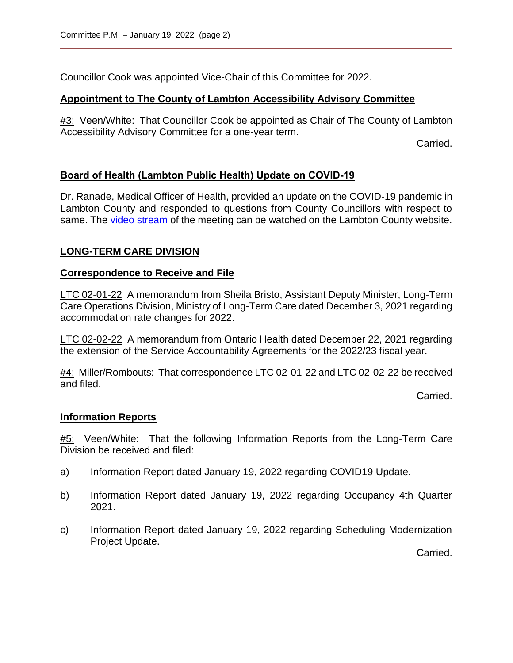Councillor Cook was appointed Vice-Chair of this Committee for 2022.

## **Appointment to The County of Lambton Accessibility Advisory Committee**

#3: Veen/White: That Councillor Cook be appointed as Chair of The County of Lambton Accessibility Advisory Committee for a one-year term.

Carried.

## **Board of Health (Lambton Public Health) Update on COVID-19**

Dr. Ranade, Medical Officer of Health, provided an update on the COVID-19 pandemic in Lambton County and responded to questions from County Councillors with respect to same. The [video stream](https://lambton.civicweb.net/document/103813?splitscreen=true&media=true) of the meeting can be watched on the Lambton County website.

## **LONG-TERM CARE DIVISION**

#### **Correspondence to Receive and File**

LTC 02-01-22 A memorandum from Sheila Bristo, Assistant Deputy Minister, Long-Term Care Operations Division, Ministry of Long-Term Care dated December 3, 2021 regarding accommodation rate changes for 2022.

LTC 02-02-22 A memorandum from Ontario Health dated December 22, 2021 regarding the extension of the Service Accountability Agreements for the 2022/23 fiscal year.

#4: Miller/Rombouts: That correspondence LTC 02-01-22 and LTC 02-02-22 be received and filed.

Carried.

#### **Information Reports**

#5: Veen/White: That the following Information Reports from the Long-Term Care Division be received and filed:

- a) Information Report dated January 19, 2022 regarding COVID19 Update.
- b) Information Report dated January 19, 2022 regarding Occupancy 4th Quarter 2021.
- c) Information Report dated January 19, 2022 regarding Scheduling Modernization Project Update.

Carried.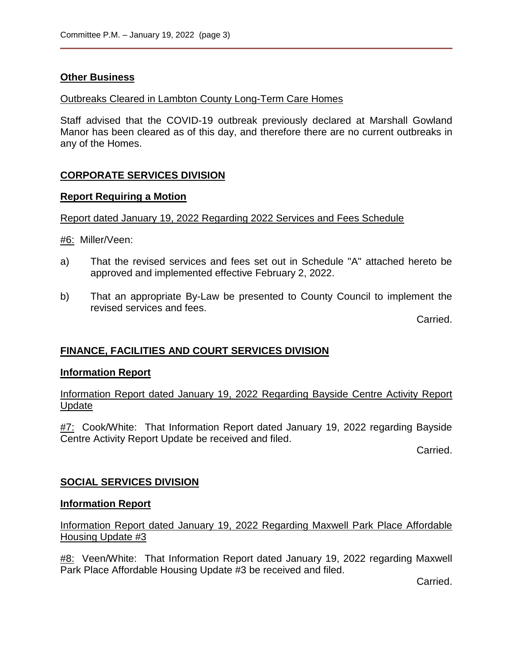## **Other Business**

#### Outbreaks Cleared in Lambton County Long-Term Care Homes

Staff advised that the COVID-19 outbreak previously declared at Marshall Gowland Manor has been cleared as of this day, and therefore there are no current outbreaks in any of the Homes.

# **CORPORATE SERVICES DIVISION**

#### **Report Requiring a Motion**

#### Report dated January 19, 2022 Regarding 2022 Services and Fees Schedule

#6: Miller/Veen:

- a) That the revised services and fees set out in Schedule "A" attached hereto be approved and implemented effective February 2, 2022.
- b) That an appropriate By-Law be presented to County Council to implement the revised services and fees.

Carried.

# **FINANCE, FACILITIES AND COURT SERVICES DIVISION**

#### **Information Report**

Information Report dated January 19, 2022 Regarding Bayside Centre Activity Report Update

**#7:** Cook/White: That Information Report dated January 19, 2022 regarding Bayside Centre Activity Report Update be received and filed.

Carried.

# **SOCIAL SERVICES DIVISION**

#### **Information Report**

Information Report dated January 19, 2022 Regarding Maxwell Park Place Affordable Housing Update #3

#8: Veen/White: That Information Report dated January 19, 2022 regarding Maxwell Park Place Affordable Housing Update #3 be received and filed.

Carried.